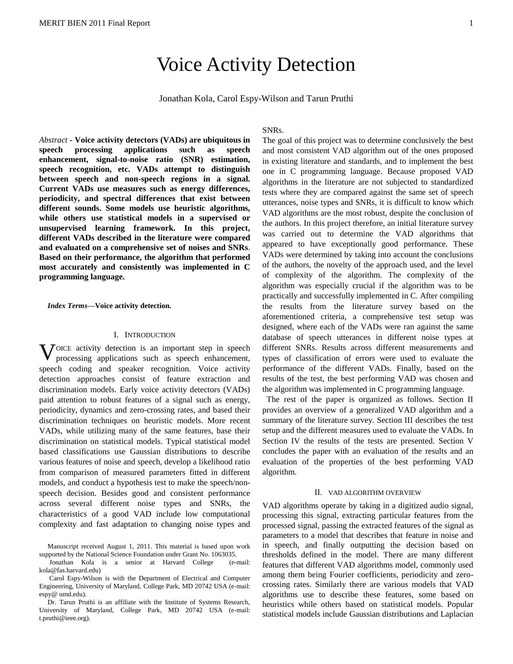# Voice Activity Detection

Jonathan Kola, Carol Espy-Wilson and Tarun Pruthi

*Abstract -* **Voice activity detectors (VADs) are ubiquitous in speech processing applications such as speech enhancement, signal-to-noise ratio (SNR) estimation, speech recognition, etc. VADs attempt to distinguish between speech and non-speech regions in a signal. Current VADs use measures such as energy differences, periodicity, and spectral differences that exist between different sounds. Some models use heuristic algorithms, while others use statistical models in a supervised or unsupervised learning framework. In this project, different VADs described in the literature were compared and evaluated on a comprehensive set of noises and SNRs**. **Based on their performance, the algorithm that performed most accurately and consistently was implemented in C programming language.**

*Index Terms***—Voice activity detection.**

## I. INTRODUCTION

VOICE activity detection is an important step in speech processing applications such as speech enhancement, processing applications such as speech enhancement, speech coding and speaker recognition. Voice activity detection approaches consist of feature extraction and discrimination models. Early voice activity detectors (VADs) paid attention to robust features of a signal such as energy, periodicity, dynamics and zero-crossing rates, and based their discrimination techniques on heuristic models. More recent VADs, while utilizing many of the same features, base their discrimination on statistical models. Typical statistical model based classifications use Gaussian distributions to describe various features of noise and speech, develop a likelihood ratio from comparison of measured parameters fitted in different models, and conduct a hypothesis test to make the speech/nonspeech decision. Besides good and consistent performance across several different noise types and SNRs, the characteristics of a good VAD include low computational complexity and fast adaptation to changing noise types and

Manuscript received August 1, 2011. This material is based upon work supported by the National Science Foundation under Grant No. 1063035.

Jonathan Kola is a senior at Harvard College (e-mail: kola@fas.harvard.edu)

Carol Espy-Wilson is with the Department of Electrical and Computer Engineering, University of Maryland, College Park, MD 20742 USA (e-mail: espy@ umd.edu).

Dr. Tarun Pruthi is an affiliate with the Institute of Systems Research, University of Maryland, College Park, MD 20742 USA (e-mail: t.pruthi@ieee.org).

# SNRs.

The goal of this project was to determine conclusively the best and most consistent VAD algorithm out of the ones proposed in existing literature and standards, and to implement the best one in C programming language. Because proposed VAD algorithms in the literature are not subjected to standardized tests where they are compared against the same set of speech utterances, noise types and SNRs, it is difficult to know which VAD algorithms are the most robust, despite the conclusion of the authors. In this project therefore, an initial literature survey was carried out to determine the VAD algorithms that appeared to have exceptionally good performance. These VADs were determined by taking into account the conclusions of the authors, the novelty of the approach used, and the level of complexity of the algorithm. The complexity of the algorithm was especially crucial if the algorithm was to be practically and successfully implemented in C. After compiling the results from the literature survey based on the aforementioned criteria, a comprehensive test setup was designed, where each of the VADs were ran against the same database of speech utterances in different noise types at different SNRs. Results across different measurements and types of classification of errors were used to evaluate the performance of the different VADs. Finally, based on the results of the test, the best performing VAD was chosen and the algorithm was implemented in C programming language.

 The rest of the paper is organized as follows. Section II provides an overview of a generalized VAD algorithm and a summary of the literature survey. Section III describes the test setup and the different measures used to evaluate the VADs. In Section IV the results of the tests are presented. Section V concludes the paper with an evaluation of the results and an evaluation of the properties of the best performing VAD algorithm.

#### II. VAD ALGORITHM OVERVIEW

VAD algorithms operate by taking in a digitized audio signal, processing this signal, extracting particular features from the processed signal, passing the extracted features of the signal as parameters to a model that describes that feature in noise and in speech, and finally outputting the decision based on thresholds defined in the model. There are many different features that different VAD algorithms model, commonly used among them being Fourier coefficients, periodicity and zerocrossing rates. Similarly there are various models that VAD algorithms use to describe these features, some based on heuristics while others based on statistical models. Popular statistical models include Gaussian distributions and Laplacian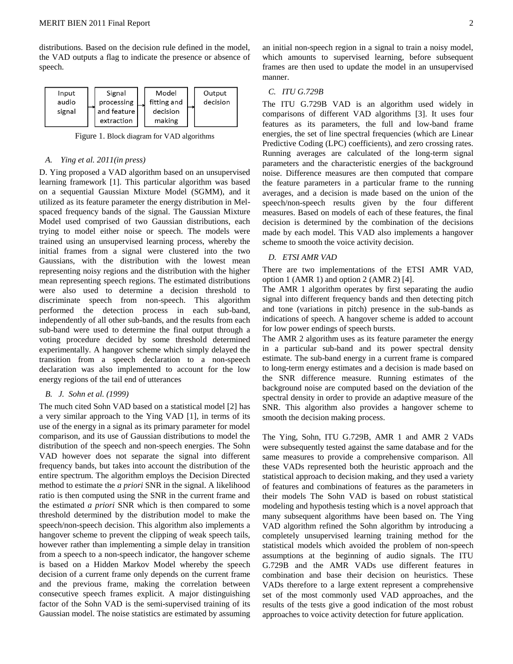distributions. Based on the decision rule defined in the model, the VAD outputs a flag to indicate the presence or absence of speech.



Figure 1. Block diagram for VAD algorithms

## *A. Ying et al. 2011(in press)*

D. Ying proposed a VAD algorithm based on an unsupervised learning framework [1]. This particular algorithm was based on a sequential Gaussian Mixture Model (SGMM), and it utilized as its feature parameter the energy distribution in Melspaced frequency bands of the signal. The Gaussian Mixture Model used comprised of two Gaussian distributions, each trying to model either noise or speech. The models were trained using an unsupervised learning process, whereby the initial frames from a signal were clustered into the two Gaussians, with the distribution with the lowest mean representing noisy regions and the distribution with the higher mean representing speech regions. The estimated distributions were also used to determine a decision threshold to discriminate speech from non-speech. This algorithm performed the detection process in each sub-band, independently of all other sub-bands, and the results from each sub-band were used to determine the final output through a voting procedure decided by some threshold determined experimentally. A hangover scheme which simply delayed the transition from a speech declaration to a non-speech declaration was also implemented to account for the low energy regions of the tail end of utterances

## *B. J. Sohn et al. (1999)*

The much cited Sohn VAD based on a statistical model [2] has a very similar approach to the Ying VAD [1], in terms of its use of the energy in a signal as its primary parameter for model comparison, and its use of Gaussian distributions to model the distribution of the speech and non-speech energies. The Sohn VAD however does not separate the signal into different frequency bands, but takes into account the distribution of the entire spectrum. The algorithm employs the Decision Directed method to estimate the *a priori* SNR in the signal. A likelihood ratio is then computed using the SNR in the current frame and the estimated *a priori* SNR which is then compared to some threshold determined by the distribution model to make the speech/non-speech decision. This algorithm also implements a hangover scheme to prevent the clipping of weak speech tails, however rather than implementing a simple delay in transition from a speech to a non-speech indicator, the hangover scheme is based on a Hidden Markov Model whereby the speech decision of a current frame only depends on the current frame and the previous frame, making the correlation between consecutive speech frames explicit. A major distinguishing factor of the Sohn VAD is the semi-supervised training of its Gaussian model. The noise statistics are estimated by assuming an initial non-speech region in a signal to train a noisy model, which amounts to supervised learning, before subsequent frames are then used to update the model in an unsupervised manner.

## *C. ITU G.729B*

The ITU G.729B VAD is an algorithm used widely in comparisons of different VAD algorithms [3]. It uses four features as its parameters, the full and low-band frame energies, the set of line spectral frequencies (which are Linear Predictive Coding (LPC) coefficients), and zero crossing rates. Running averages are calculated of the long-term signal parameters and the characteristic energies of the background noise. Difference measures are then computed that compare the feature parameters in a particular frame to the running averages, and a decision is made based on the union of the speech/non-speech results given by the four different measures. Based on models of each of these features, the final decision is determined by the combination of the decisions made by each model. This VAD also implements a hangover scheme to smooth the voice activity decision.

## *D. ETSI AMR VAD*

There are two implementations of the ETSI AMR VAD, option 1 (AMR 1) and option 2 (AMR 2) [4].

The AMR 1 algorithm operates by first separating the audio signal into different frequency bands and then detecting pitch and tone (variations in pitch) presence in the sub-bands as indications of speech. A hangover scheme is added to account for low power endings of speech bursts.

The AMR 2 algorithm uses as its feature parameter the energy in a particular sub-band and its power spectral density estimate. The sub-band energy in a current frame is compared to long-term energy estimates and a decision is made based on the SNR difference measure. Running estimates of the background noise are computed based on the deviation of the spectral density in order to provide an adaptive measure of the SNR. This algorithm also provides a hangover scheme to smooth the decision making process.

The Ying, Sohn, ITU G.729B, AMR 1 and AMR 2 VADs were subsequently tested against the same database and for the same measures to provide a comprehensive comparison. All these VADs represented both the heuristic approach and the statistical approach to decision making, and they used a variety of features and combinations of features as the parameters in their models The Sohn VAD is based on robust statistical modeling and hypothesis testing which is a novel approach that many subsequent algorithms have been based on. The Ying VAD algorithm refined the Sohn algorithm by introducing a completely unsupervised learning training method for the statistical models which avoided the problem of non-speech assumptions at the beginning of audio signals. The ITU G.729B and the AMR VADs use different features in combination and base their decision on heuristics. These VADs therefore to a large extent represent a comprehensive set of the most commonly used VAD approaches, and the results of the tests give a good indication of the most robust approaches to voice activity detection for future application.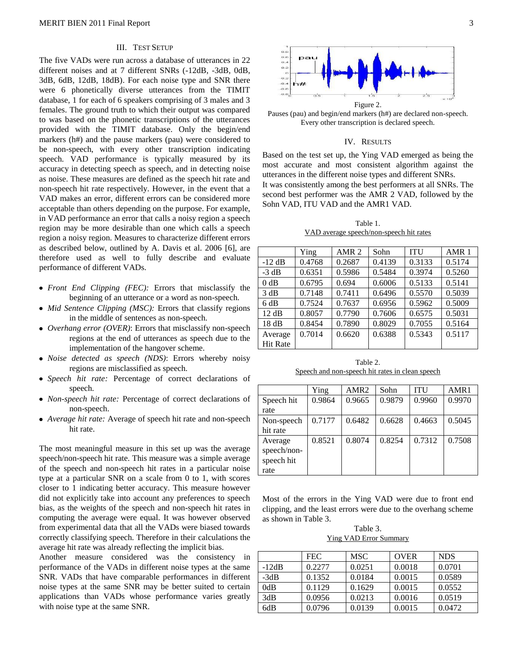# III. TEST SETUP

The five VADs were run across a database of utterances in 22 different noises and at 7 different SNRs (-12dB, -3dB, 0dB, 3dB, 6dB, 12dB, 18dB). For each noise type and SNR there were 6 phonetically diverse utterances from the TIMIT database, 1 for each of 6 speakers comprising of 3 males and 3 females. The ground truth to which their output was compared to was based on the phonetic transcriptions of the utterances provided with the TIMIT database. Only the begin/end markers (h#) and the pause markers (pau) were considered to be non-speech, with every other transcription indicating speech. VAD performance is typically measured by its accuracy in detecting speech as speech, and in detecting noise as noise. These measures are defined as the speech hit rate and non-speech hit rate respectively. However, in the event that a VAD makes an error, different errors can be considered more acceptable than others depending on the purpose. For example, in VAD performance an error that calls a noisy region a speech region may be more desirable than one which calls a speech region a noisy region. Measures to characterize different errors as described below, outlined by A. Davis et al. 2006 [6], are therefore used as well to fully describe and evaluate performance of different VADs.

- *Front End Clipping (FEC):* Errors that misclassify the beginning of an utterance or a word as non-speech.
- *Mid Sentence Clipping (MSC):* Errors that classify regions in the middle of sentences as non-speech.
- *Overhang error (OVER)*: Errors that misclassify non-speech regions at the end of utterances as speech due to the implementation of the hangover scheme.
- *Noise detected as speech (NDS)*: Errors whereby noisy regions are misclassified as speech.
- *Speech hit rate:* Percentage of correct declarations of speech.
- *Non-speech hit rate:* Percentage of correct declarations of non-speech.
- *Average hit rate:* Average of speech hit rate and non-speech hit rate.

The most meaningful measure in this set up was the average speech/non-speech hit rate. This measure was a simple average of the speech and non-speech hit rates in a particular noise type at a particular SNR on a scale from 0 to 1, with scores closer to 1 indicating better accuracy. This measure however did not explicitly take into account any preferences to speech bias, as the weights of the speech and non-speech hit rates in computing the average were equal. It was however observed from experimental data that all the VADs were biased towards correctly classifying speech. Therefore in their calculations the average hit rate was already reflecting the implicit bias.

Another measure considered was the consistency in performance of the VADs in different noise types at the same SNR. VADs that have comparable performances in different noise types at the same SNR may be better suited to certain applications than VADs whose performance varies greatly with noise type at the same SNR.



Pauses (pau) and begin/end markers (h#) are declared non-speech. Every other transcription is declared speech.

## IV. RESULTS

Based on the test set up, the Ying VAD emerged as being the most accurate and most consistent algorithm against the utterances in the different noise types and different SNRs. It was consistently among the best performers at all SNRs. The second best performer was the AMR 2 VAD, followed by the Sohn VAD, ITU VAD and the AMR1 VAD.

Table 1. VAD average speech/non-speech hit rates

|                 | Ying   | AMR <sub>2</sub> | Sohn   | <b>ITU</b> | AMR <sub>1</sub> |
|-----------------|--------|------------------|--------|------------|------------------|
| $-12$ dB        | 0.4768 | 0.2687           | 0.4139 | 0.3133     | 0.5174           |
| $-3 dB$         | 0.6351 | 0.5986           | 0.5484 | 0.3974     | 0.5260           |
| 0 dB            | 0.6795 | 0.694            | 0.6006 | 0.5133     | 0.5141           |
| 3 dB            | 0.7148 | 0.7411           | 0.6496 | 0.5570     | 0.5039           |
| 6 dB            | 0.7524 | 0.7637           | 0.6956 | 0.5962     | 0.5009           |
| 12 dB           | 0.8057 | 0.7790           | 0.7606 | 0.6575     | 0.5031           |
| 18dB            | 0.8454 | 0.7890           | 0.8029 | 0.7055     | 0.5164           |
| Average         | 0.7014 | 0.6620           | 0.6388 | 0.5343     | 0.5117           |
| <b>Hit Rate</b> |        |                  |        |            |                  |

Table 2. Speech and non-speech hit rates in clean speech

|             | Ying   | AMR <sub>2</sub> | Sohn   | <b>ITU</b> | AMR1   |
|-------------|--------|------------------|--------|------------|--------|
| Speech hit  | 0.9864 | 0.9665           | 0.9879 | 0.9960     | 0.9970 |
| rate        |        |                  |        |            |        |
| Non-speech  | 0.7177 | 0.6482           | 0.6628 | 0.4663     | 0.5045 |
| hit rate    |        |                  |        |            |        |
| Average     | 0.8521 | 0.8074           | 0.8254 | 0.7312     | 0.7508 |
| speech/non- |        |                  |        |            |        |
| speech hit  |        |                  |        |            |        |
| rate        |        |                  |        |            |        |

Most of the errors in the Ying VAD were due to front end clipping, and the least errors were due to the overhang scheme as shown in Table 3.

Table 3. Ying VAD Error Summary

|         | <b>FEC</b> | MSC    | <b>OVER</b> | <b>NDS</b> |
|---------|------------|--------|-------------|------------|
| $-12dB$ | 0.2277     | 0.0251 | 0.0018      | 0.0701     |
| $-3dB$  | 0.1352     | 0.0184 | 0.0015      | 0.0589     |
| 0dB     | 0.1129     | 0.1629 | 0.0015      | 0.0552     |
| 3dB     | 0.0956     | 0.0213 | 0.0016      | 0.0519     |
| 6dB     | 0.0796     | 0.0139 | 0.0015      | 0.0472     |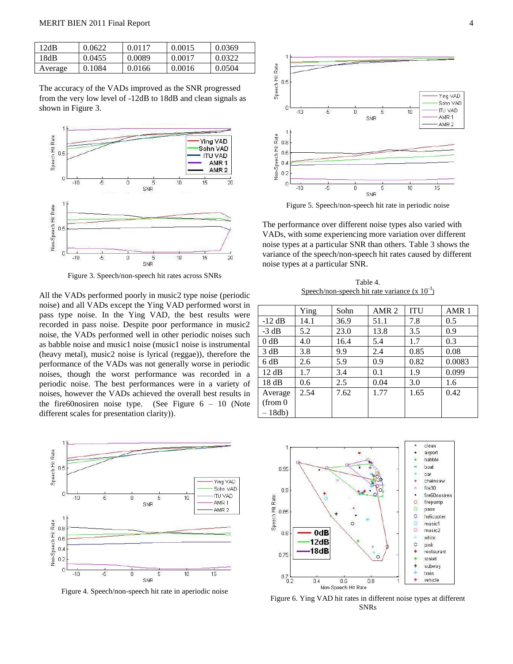| 12dB    | 0.0622 | 0.0117 | 0.0015 | 0.0369 |
|---------|--------|--------|--------|--------|
| 18dB    | 0.0455 | 0.0089 | 0.0017 | 0.0322 |
| Average | 0.1084 | 0.0166 | 0.0016 | 0.0504 |

The accuracy of the VADs improved as the SNR progressed from the very low level of -12dB to 18dB and clean signals as shown in Figure 3.



Figure 3. Speech/non-speech hit rates across SNRs

All the VADs performed poorly in music2 type noise (periodic noise) and all VADs except the Ying VAD performed worst in pass type noise. In the Ying VAD, the best results were recorded in pass noise. Despite poor performance in music2 noise, the VADs performed well in other periodic noises such as babble noise and music1 noise (music1 noise is instrumental (heavy metal), music2 noise is lyrical (reggae)), therefore the performance of the VADs was not generally worse in periodic noises, though the worst performance was recorded in a periodic noise. The best performances were in a variety of noises, however the VADs achieved the overall best results in the fire60nosiren noise type. (See Figure  $6 - 10$  (Note different scales for presentation clarity)).



Figure 4. Speech/non-speech hit rate in aperiodic noise



Figure 5. Speech/non-speech hit rate in periodic noise

The performance over different noise types also varied with VADs, with some experiencing more variation over different noise types at a particular SNR than others. Table 3 shows the variance of the speech/non-speech hit rates caused by different noise types at a particular SNR.

Table 4. Speech/non-speech hit rate variance  $(x 10^{-3})$ 

|                      | Ying | Sohn | AMR <sub>2</sub> | <b>ITU</b> | AMR <sub>1</sub> |
|----------------------|------|------|------------------|------------|------------------|
| $-12$ dB             | 14.1 | 36.9 | 51.1             | 7.8        | 0.5              |
| $-3$ dB              | 5.2  | 23.0 | 13.8             | 3.5        | 0.9              |
| $0$ dB               | 4.0  | 16.4 | 5.4              | 1.7        | 0.3              |
| 3 dB                 | 3.8  | 9.9  | 2.4              | 0.85       | 0.08             |
| 6 dB                 | 2.6  | 5.9  | 0.9              | 0.82       | 0.0083           |
| 12 dB                | 1.7  | 3.4  | 0.1              | 1.9        | 0.099            |
| 18dB                 | 0.6  | 2.5  | 0.04             | 3.0        | 1.6              |
| Average              | 2.54 | 7.62 | 1.77             | 1.65       | 0.42             |
| (from <sub>0</sub> ) |      |      |                  |            |                  |
| 18db                 |      |      |                  |            |                  |



Figure 6. Ying VAD hit rates in different noise types at different SNRs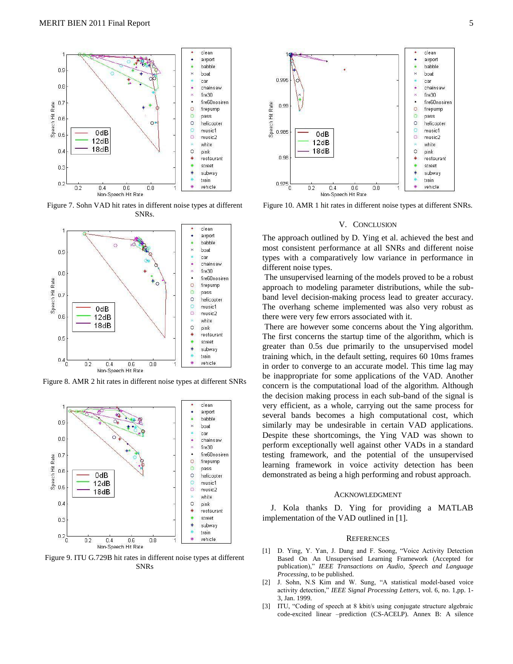

Figure 7. Sohn VAD hit rates in different noise types at different SNRs.



Figure 8. AMR 2 hit rates in different noise types at different SNRs



Figure 9. ITU G.729B hit rates in different noise types at different SNRs



Figure 10. AMR 1 hit rates in different noise types at different SNRs.

#### V. CONCLUSION

The approach outlined by D. Ying et al. achieved the best and most consistent performance at all SNRs and different noise types with a comparatively low variance in performance in different noise types.

The unsupervised learning of the models proved to be a robust approach to modeling parameter distributions, while the subband level decision-making process lead to greater accuracy. The overhang scheme implemented was also very robust as there were very few errors associated with it.

There are however some concerns about the Ying algorithm. The first concerns the startup time of the algorithm, which is greater than 0.5s due primarily to the unsupervised model training which, in the default setting, requires 60 10ms frames in order to converge to an accurate model. This time lag may be inappropriate for some applications of the VAD. Another concern is the computational load of the algorithm. Although the decision making process in each sub-band of the signal is very efficient, as a whole, carrying out the same process for several bands becomes a high computational cost, which similarly may be undesirable in certain VAD applications. Despite these shortcomings, the Ying VAD was shown to perform exceptionally well against other VADs in a standard testing framework, and the potential of the unsupervised learning framework in voice activity detection has been demonstrated as being a high performing and robust approach.

#### ACKNOWLEDGMENT

J. Kola thanks D. Ying for providing a MATLAB implementation of the VAD outlined in [1].

#### **REFERENCES**

- [1] D. Ying, Y. Yan, J. Dang and F. Soong, "Voice Activity Detection Based On An Unsupervised Learning Framework (Accepted for publication)," *IEEE Transactions on Audio, Speech and Language Processing,* to be published.
- [2] J. Sohn, N.S Kim and W. Sung, "A statistical model-based voice activity detection," *IEEE Signal Processing Letters,* vol. 6, no. 1,pp. 1- 3, Jan. 1999.
- [3] ITU, "Coding of speech at 8 kbit/s using conjugate structure algebraic code-excited linear –prediction (CS-ACELP). Annex B: A silence